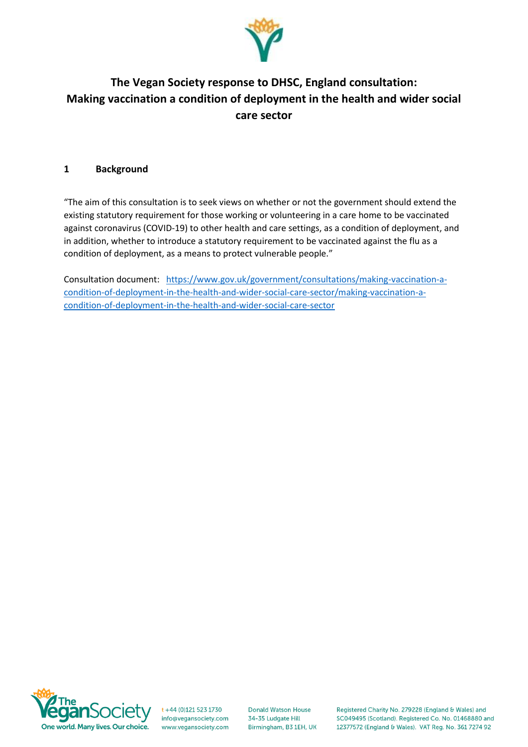

# **The Vegan Society response to DHSC, England consultation: Making vaccination a condition of deployment in the health and wider social care sector**

## **1 Background**

"The aim of this consultation is to seek views on whether or not the government should extend the existing statutory requirement for those working or volunteering in a care home to be vaccinated against coronavirus (COVID-19) to other health and care settings, as a condition of deployment, and in addition, whether to introduce a statutory requirement to be vaccinated against the flu as a condition of deployment, as a means to protect vulnerable people."

Consultation document: [https://www.gov.uk/government/consultations/making-vaccination-a](https://www.gov.uk/government/consultations/making-vaccination-a-condition-of-deployment-in-the-health-and-wider-social-care-sector/making-vaccination-a-condition-of-deployment-in-the-health-and-wider-social-care-sector)[condition-of-deployment-in-the-health-and-wider-social-care-sector/making-vaccination-a](https://www.gov.uk/government/consultations/making-vaccination-a-condition-of-deployment-in-the-health-and-wider-social-care-sector/making-vaccination-a-condition-of-deployment-in-the-health-and-wider-social-care-sector)[condition-of-deployment-in-the-health-and-wider-social-care-sector](https://www.gov.uk/government/consultations/making-vaccination-a-condition-of-deployment-in-the-health-and-wider-social-care-sector/making-vaccination-a-condition-of-deployment-in-the-health-and-wider-social-care-sector)



t +44 (0)121 523 1730 info@vegansociety.com www.vegansociety.com

**Donald Watson House** 34-35 Ludgate Hill Birmingham, B3 1EH, UK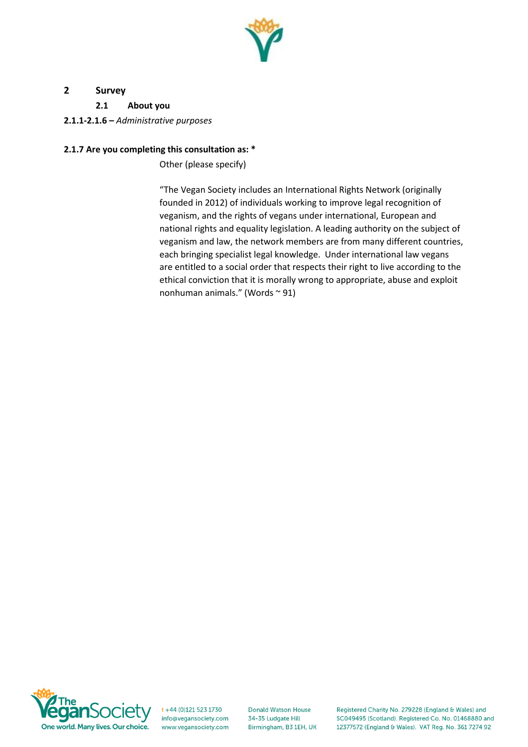

# **2 Survey**

**2.1 About you**

**2.1.1-2.1.6 –** *Administrative purposes*

# **2.1.7 Are you completing this consultation as: \***

Other (please specify)

"The Vegan Society includes an International Rights Network (originally founded in 2012) of individuals working to improve legal recognition of veganism, and the rights of vegans under international, European and national rights and equality legislation. A leading authority on the subject of veganism and law, the network members are from many different countries, each bringing specialist legal knowledge. Under international law vegans are entitled to a social order that respects their right to live according to the ethical conviction that it is morally wrong to appropriate, abuse and exploit nonhuman animals." (Words ~ 91)



t +44 (0)121 523 1730 info@vegansociety.com www.vegansociety.com

**Donald Watson House** 34-35 Ludgate Hill Birmingham, B3 1EH, UK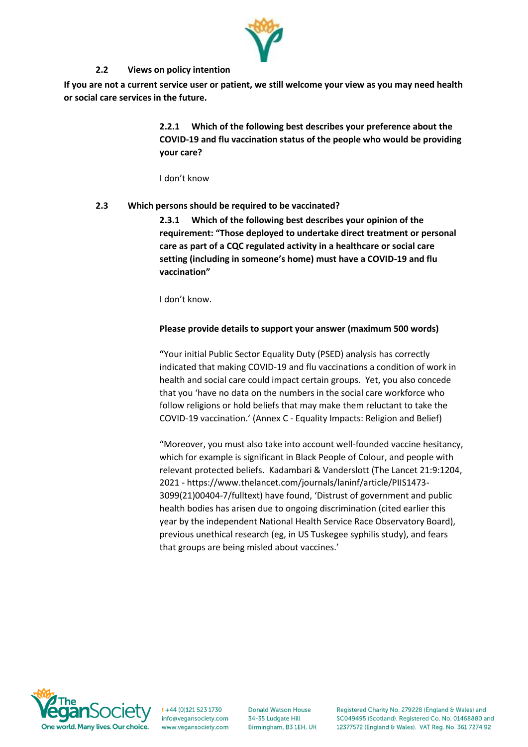

### **2.2 Views on policy intention**

**If you are not a current service user or patient, we still welcome your view as you may need health or social care services in the future.**

> **2.2.1 Which of the following best describes your preference about the COVID-19 and flu vaccination status of the people who would be providing your care?**

I don't know

### **2.3 Which persons should be required to be vaccinated?**

**2.3.1 Which of the following best describes your opinion of the requirement: "Those deployed to undertake direct treatment or personal care as part of a CQC regulated activity in a healthcare or social care setting (including in someone's home) must have a COVID-19 and flu vaccination"**

I don't know.

#### **Please provide details to support your answer (maximum 500 words)**

**"**Your initial Public Sector Equality Duty (PSED) analysis has correctly indicated that making COVID-19 and flu vaccinations a condition of work in health and social care could impact certain groups. Yet, you also concede that you 'have no data on the numbers in the social care workforce who follow religions or hold beliefs that may make them reluctant to take the COVID-19 vaccination.' (Annex C - Equality Impacts: Religion and Belief)

"Moreover, you must also take into account well-founded vaccine hesitancy, which for example is significant in Black People of Colour, and people with relevant protected beliefs. Kadambari & Vanderslott (The Lancet 21:9:1204, 2021 - https://www.thelancet.com/journals/laninf/article/PIIS1473- 3099(21)00404-7/fulltext) have found, 'Distrust of government and public health bodies has arisen due to ongoing discrimination (cited earlier this year by the independent National Health Service Race Observatory Board), previous unethical research (eg, in US Tuskegee syphilis study), and fears that groups are being misled about vaccines.'



t +44 (0)121 523 1730 info@vegansociety.com www.vegansociety.com

**Donald Watson House** 34-35 Ludgate Hill Birmingham, B3 1EH, UK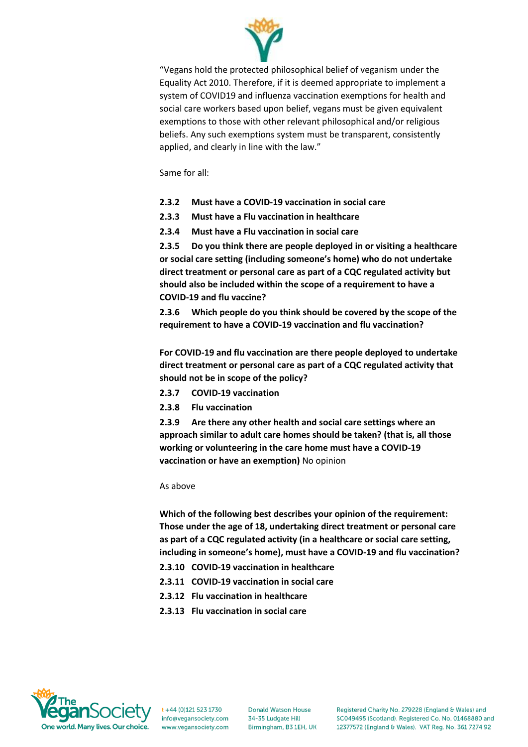

"Vegans hold the protected philosophical belief of veganism under the Equality Act 2010. Therefore, if it is deemed appropriate to implement a system of COVID19 and influenza vaccination exemptions for health and social care workers based upon belief, vegans must be given equivalent exemptions to those with other relevant philosophical and/or religious beliefs. Any such exemptions system must be transparent, consistently applied, and clearly in line with the law."

Same for all:

- **2.3.2 Must have a COVID-19 vaccination in social care**
- **2.3.3 Must have a Flu vaccination in healthcare**
- **2.3.4 Must have a Flu vaccination in social care**

**2.3.5 Do you think there are people deployed in or visiting a healthcare or social care setting (including someone's home) who do not undertake direct treatment or personal care as part of a CQC regulated activity but should also be included within the scope of a requirement to have a COVID-19 and flu vaccine?**

**2.3.6 Which people do you think should be covered by the scope of the requirement to have a COVID-19 vaccination and flu vaccination?**

**For COVID-19 and flu vaccination are there people deployed to undertake direct treatment or personal care as part of a CQC regulated activity that should not be in scope of the policy?**

- **2.3.7 COVID-19 vaccination**
- **2.3.8 Flu vaccination**

**2.3.9 Are there any other health and social care settings where an approach similar to adult care homes should be taken? (that is, all those working or volunteering in the care home must have a COVID-19 vaccination or have an exemption)** No opinion

As above

**Which of the following best describes your opinion of the requirement: Those under the age of 18, undertaking direct treatment or personal care as part of a CQC regulated activity (in a healthcare or social care setting, including in someone's home), must have a COVID-19 and flu vaccination?**

- **2.3.10 COVID-19 vaccination in healthcare**
- **2.3.11 COVID-19 vaccination in social care**
- **2.3.12 Flu vaccination in healthcare**
- **2.3.13 Flu vaccination in social care**



t +44 (0)121 523 1730 info@vegansociety.com www.yegansociety.com

**Donald Watson House** 34-35 Ludgate Hill Birmingham, B3 1EH, UK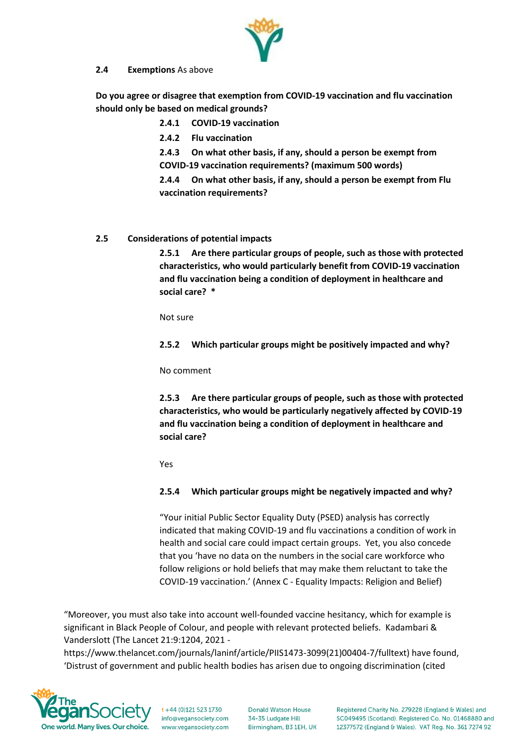#### **2.4 Exemptions** As above

**Do you agree or disagree that exemption from COVID-19 vaccination and flu vaccination should only be based on medical grounds?**

**2.4.1 COVID-19 vaccination**

**2.4.2 Flu vaccination** 

**2.4.3 On what other basis, if any, should a person be exempt from COVID-19 vaccination requirements? (maximum 500 words)**

**2.4.4 On what other basis, if any, should a person be exempt from Flu vaccination requirements?**

#### **2.5 Considerations of potential impacts**

**2.5.1 Are there particular groups of people, such as those with protected characteristics, who would particularly benefit from COVID-19 vaccination and flu vaccination being a condition of deployment in healthcare and social care? \***

Not sure

**2.5.2 Which particular groups might be positively impacted and why?** 

No comment

**2.5.3 Are there particular groups of people, such as those with protected characteristics, who would be particularly negatively affected by COVID-19 and flu vaccination being a condition of deployment in healthcare and social care?**

Yes

#### **2.5.4 Which particular groups might be negatively impacted and why?**

"Your initial Public Sector Equality Duty (PSED) analysis has correctly indicated that making COVID-19 and flu vaccinations a condition of work in health and social care could impact certain groups. Yet, you also concede that you 'have no data on the numbers in the social care workforce who follow religions or hold beliefs that may make them reluctant to take the COVID-19 vaccination.' (Annex C - Equality Impacts: Religion and Belief)

"Moreover, you must also take into account well-founded vaccine hesitancy, which for example is significant in Black People of Colour, and people with relevant protected beliefs. Kadambari & Vanderslott (The Lancet 21:9:1204, 2021 -

https://www.thelancet.com/journals/laninf/article/PIIS1473-3099(21)00404-7/fulltext) have found, 'Distrust of government and public health bodies has arisen due to ongoing discrimination (cited



 $t + 44$  (0)121 523 1730 info@vegansociety.com www.yegansociety.com

**Donald Watson House** 34-35 Ludgate Hill Birmingham, B3 1EH, UK